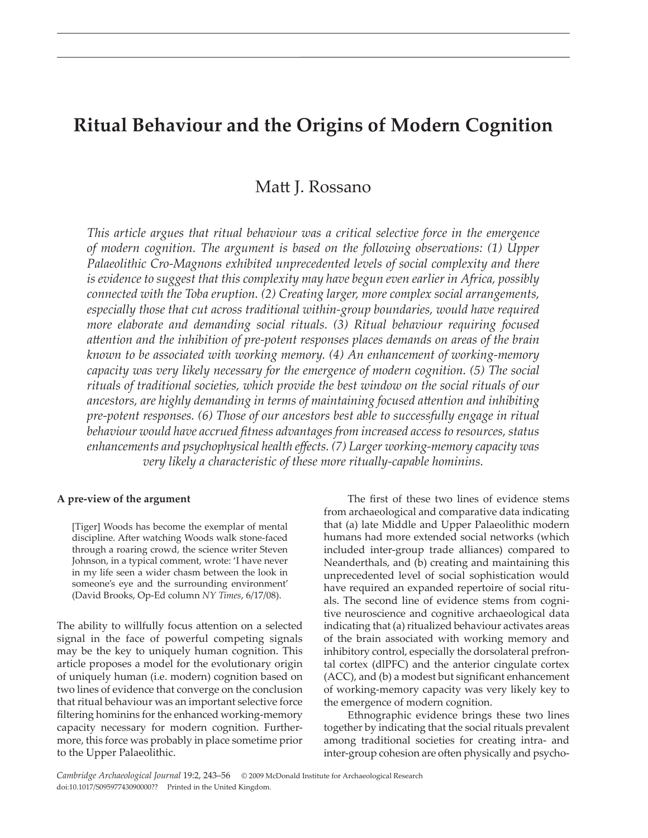# **Ritual Behaviour and the Origins of Modern Cognition**

# Matt J. Rossano

*This article argues that ritual behaviour was a critical selective force in the emergence of modern cognition. The argument is based on the following observations: (1) Upper Palaeolithic Cro-Magnons exhibited unprecedented levels of social complexity and there is evidence to suggest that this complexity may have begun even earlier in Africa, possibly connected with the Toba eruption. (2) Creating larger, more complex social arrangements, especially those that cut across traditional within-group boundaries, would have required more elaborate and demanding social rituals. (3) Ritual behaviour requiring focused attention and the inhibition of pre-potent responses places demands on areas of the brain known to be associated with working memory. (4) An enhancement of working-memory capacity was very likely necessary for the emergence of modern cognition. (5) The social rituals of traditional societies, which provide the best window on the social rituals of our ancestors, are highly demanding in terms of maintaining focused attention and inhibiting pre-potent responses. (6) Those of our ancestors best able to successfully engage in ritual behaviour would have accrued fitness advantages from increased access to resources, status enhancements and psychophysical health effects. (7) Larger working-memory capacity was very likely a characteristic of these more ritually-capable hominins.* 

#### **A pre-view of the argument**

[Tiger] Woods has become the exemplar of mental discipline. After watching Woods walk stone-faced through a roaring crowd, the science writer Steven Johnson, in a typical comment, wrote: 'I have never in my life seen a wider chasm between the look in someone's eye and the surrounding environment' (David Brooks, Op-Ed column *NY Times*, 6/17/08).

The ability to willfully focus attention on a selected signal in the face of powerful competing signals may be the key to uniquely human cognition. This article proposes a model for the evolutionary origin of uniquely human (i.e. modern) cognition based on two lines of evidence that converge on the conclusion that ritual behaviour was an important selective force filtering hominins for the enhanced working-memory capacity necessary for modern cognition. Furthermore, this force was probably in place sometime prior to the Upper Palaeolithic.

The first of these two lines of evidence stems from archaeological and comparative data indicating that (a) late Middle and Upper Palaeolithic modern humans had more extended social networks (which included inter-group trade alliances) compared to Neanderthals, and (b) creating and maintaining this unprecedented level of social sophistication would have required an expanded repertoire of social rituals. The second line of evidence stems from cognitive neuroscience and cognitive archaeological data indicating that (a) ritualized behaviour activates areas of the brain associated with working memory and inhibitory control, especially the dorsolateral prefrontal cortex (dlPFC) and the anterior cingulate cortex (ACC), and (b) a modest but significant enhancement of working-memory capacity was very likely key to the emergence of modern cognition.

Ethnographic evidence brings these two lines together by indicating that the social rituals prevalent among traditional societies for creating intra- and inter-group cohesion are often physically and psycho-

*Cambridge Archaeological Journal* 19:2, 243–56 © 2009 McDonald Institute for Archaeological Research doi:10.1017/S09597743090000?? Printed in the United Kingdom.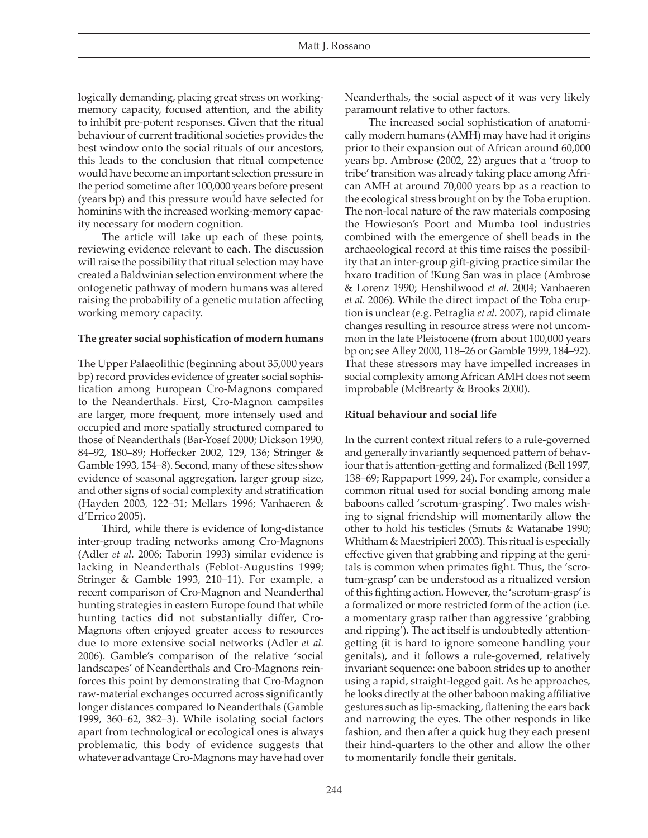logically demanding, placing great stress on workingmemory capacity, focused attention, and the ability to inhibit pre-potent responses. Given that the ritual behaviour of current traditional societies provides the best window onto the social rituals of our ancestors, this leads to the conclusion that ritual competence would have become an important selection pressure in the period sometime after 100,000 years before present (years bp) and this pressure would have selected for hominins with the increased working-memory capacity necessary for modern cognition.

The article will take up each of these points, reviewing evidence relevant to each. The discussion will raise the possibility that ritual selection may have created a Baldwinian selection environment where the ontogenetic pathway of modern humans was altered raising the probability of a genetic mutation affecting working memory capacity.

#### **The greater social sophistication of modern humans**

The Upper Palaeolithic (beginning about 35,000 years bp) record provides evidence of greater social sophistication among European Cro-Magnons compared to the Neanderthals. First, Cro-Magnon campsites are larger, more frequent, more intensely used and occupied and more spatially structured compared to those of Neanderthals (Bar-Yosef 2000; Dickson 1990, 84–92, 180–89; Hoffecker 2002, 129, 136; Stringer & Gamble 1993, 154–8). Second, many of these sites show evidence of seasonal aggregation, larger group size, and other signs of social complexity and stratification (Hayden 2003, 122–31; Mellars 1996; Vanhaeren & d'Errico 2005).

Third, while there is evidence of long-distance inter-group trading networks among Cro-Magnons (Adler *et al.* 2006; Taborin 1993) similar evidence is lacking in Neanderthals (Feblot-Augustins 1999; Stringer & Gamble 1993, 210–11). For example, a recent comparison of Cro-Magnon and Neanderthal hunting strategies in eastern Europe found that while hunting tactics did not substantially differ, Cro-Magnons often enjoyed greater access to resources due to more extensive social networks (Adler *et al.* 2006). Gamble's comparison of the relative 'social landscapes' of Neanderthals and Cro-Magnons reinforces this point by demonstrating that Cro-Magnon raw-material exchanges occurred across significantly longer distances compared to Neanderthals (Gamble 1999, 360–62, 382–3). While isolating social factors apart from technological or ecological ones is always problematic, this body of evidence suggests that whatever advantage Cro-Magnons may have had over

Neanderthals, the social aspect of it was very likely paramount relative to other factors.

The increased social sophistication of anatomically modern humans (AMH) may have had it origins prior to their expansion out of African around 60,000 years bp. Ambrose (2002, 22) argues that a 'troop to tribe' transition was already taking place among African AMH at around 70,000 years bp as a reaction to the ecological stress brought on by the Toba eruption. The non-local nature of the raw materials composing the Howieson's Poort and Mumba tool industries combined with the emergence of shell beads in the archaeological record at this time raises the possibility that an inter-group gift-giving practice similar the hxaro tradition of !Kung San was in place (Ambrose & Lorenz 1990; Henshilwood *et al.* 2004; Vanhaeren *et al.* 2006). While the direct impact of the Toba eruption is unclear (e.g. Petraglia *et al.* 2007), rapid climate changes resulting in resource stress were not uncommon in the late Pleistocene (from about 100,000 years bp on; see Alley 2000, 118–26 or Gamble 1999, 184–92). That these stressors may have impelled increases in social complexity among African AMH does not seem improbable (McBrearty & Brooks 2000).

#### **Ritual behaviour and social life**

In the current context ritual refers to a rule-governed and generally invariantly sequenced pattern of behaviour that is attention-getting and formalized (Bell 1997, 138–69; Rappaport 1999, 24). For example, consider a common ritual used for social bonding among male baboons called 'scrotum-grasping'. Two males wishing to signal friendship will momentarily allow the other to hold his testicles (Smuts & Watanabe 1990; Whitham & Maestripieri 2003). This ritual is especially effective given that grabbing and ripping at the genitals is common when primates fight. Thus, the 'scrotum-grasp' can be understood as a ritualized version of this fighting action. However, the 'scrotum-grasp' is a formalized or more restricted form of the action (i.e. a momentary grasp rather than aggressive 'grabbing and ripping'). The act itself is undoubtedly attentiongetting (it is hard to ignore someone handling your genitals), and it follows a rule-governed, relatively invariant sequence: one baboon strides up to another using a rapid, straight-legged gait. As he approaches, he looks directly at the other baboon making affiliative gestures such as lip-smacking, flattening the ears back and narrowing the eyes. The other responds in like fashion, and then after a quick hug they each present their hind-quarters to the other and allow the other to momentarily fondle their genitals.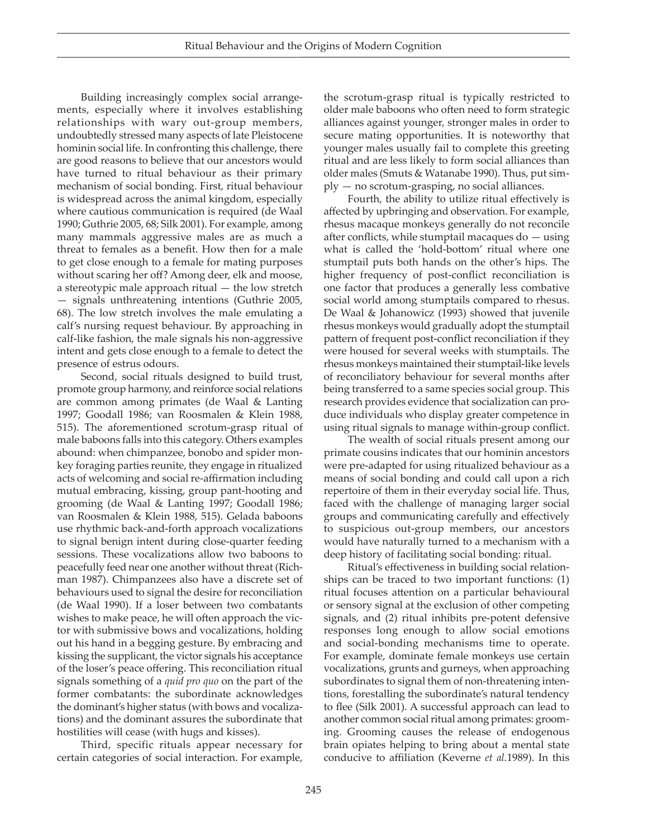Building increasingly complex social arrangements, especially where it involves establishing relationships with wary out-group members, undoubtedly stressed many aspects of late Pleistocene hominin social life. In confronting this challenge, there are good reasons to believe that our ancestors would have turned to ritual behaviour as their primary mechanism of social bonding. First, ritual behaviour is widespread across the animal kingdom, especially where cautious communication is required (de Waal 1990; Guthrie 2005, 68; Silk 2001). For example, among many mammals aggressive males are as much a threat to females as a benefit. How then for a male to get close enough to a female for mating purposes without scaring her off? Among deer, elk and moose, a stereotypic male approach ritual — the low stretch — signals unthreatening intentions (Guthrie 2005, 68). The low stretch involves the male emulating a calf's nursing request behaviour. By approaching in calf-like fashion, the male signals his non-aggressive intent and gets close enough to a female to detect the presence of estrus odours.

Second, social rituals designed to build trust, promote group harmony, and reinforce social relations are common among primates (de Waal & Lanting 1997; Goodall 1986; van Roosmalen & Klein 1988, 515). The aforementioned scrotum-grasp ritual of male baboons falls into this category. Others examples abound: when chimpanzee, bonobo and spider monkey foraging parties reunite, they engage in ritualized acts of welcoming and social re-affirmation including mutual embracing, kissing, group pant-hooting and grooming (de Waal & Lanting 1997; Goodall 1986; van Roosmalen & Klein 1988, 515). Gelada baboons use rhythmic back-and-forth approach vocalizations to signal benign intent during close-quarter feeding sessions. These vocalizations allow two baboons to peacefully feed near one another without threat (Richman 1987). Chimpanzees also have a discrete set of behaviours used to signal the desire for reconciliation (de Waal 1990). If a loser between two combatants wishes to make peace, he will often approach the victor with submissive bows and vocalizations, holding out his hand in a begging gesture. By embracing and kissing the supplicant, the victor signals his acceptance of the loser's peace offering. This reconciliation ritual signals something of a *quid pro quo* on the part of the former combatants: the subordinate acknowledges the dominant's higher status (with bows and vocalizations) and the dominant assures the subordinate that hostilities will cease (with hugs and kisses).

Third, specific rituals appear necessary for certain categories of social interaction. For example,

the scrotum-grasp ritual is typically restricted to older male baboons who often need to form strategic alliances against younger, stronger males in order to secure mating opportunities. It is noteworthy that younger males usually fail to complete this greeting ritual and are less likely to form social alliances than older males (Smuts & Watanabe 1990). Thus, put simply — no scrotum-grasping, no social alliances.

Fourth, the ability to utilize ritual effectively is affected by upbringing and observation. For example, rhesus macaque monkeys generally do not reconcile after conflicts, while stumptail macaques do — using what is called the 'hold-bottom' ritual where one stumptail puts both hands on the other's hips. The higher frequency of post-conflict reconciliation is one factor that produces a generally less combative social world among stumptails compared to rhesus. De Waal & Johanowicz (1993) showed that juvenile rhesus monkeys would gradually adopt the stumptail pattern of frequent post-conflict reconciliation if they were housed for several weeks with stumptails. The rhesus monkeys maintained their stumptail-like levels of reconciliatory behaviour for several months after being transferred to a same species social group. This research provides evidence that socialization can produce individuals who display greater competence in using ritual signals to manage within-group conflict.

The wealth of social rituals present among our primate cousins indicates that our hominin ancestors were pre-adapted for using ritualized behaviour as a means of social bonding and could call upon a rich repertoire of them in their everyday social life. Thus, faced with the challenge of managing larger social groups and communicating carefully and effectively to suspicious out-group members, our ancestors would have naturally turned to a mechanism with a deep history of facilitating social bonding: ritual.

Ritual's effectiveness in building social relationships can be traced to two important functions: (1) ritual focuses attention on a particular behavioural or sensory signal at the exclusion of other competing signals, and (2) ritual inhibits pre-potent defensive responses long enough to allow social emotions and social-bonding mechanisms time to operate. For example, dominate female monkeys use certain vocalizations, grunts and gurneys, when approaching subordinates to signal them of non-threatening intentions, forestalling the subordinate's natural tendency to flee (Silk 2001). A successful approach can lead to another common social ritual among primates: grooming. Grooming causes the release of endogenous brain opiates helping to bring about a mental state conducive to affiliation (Keverne *et al.*1989). In this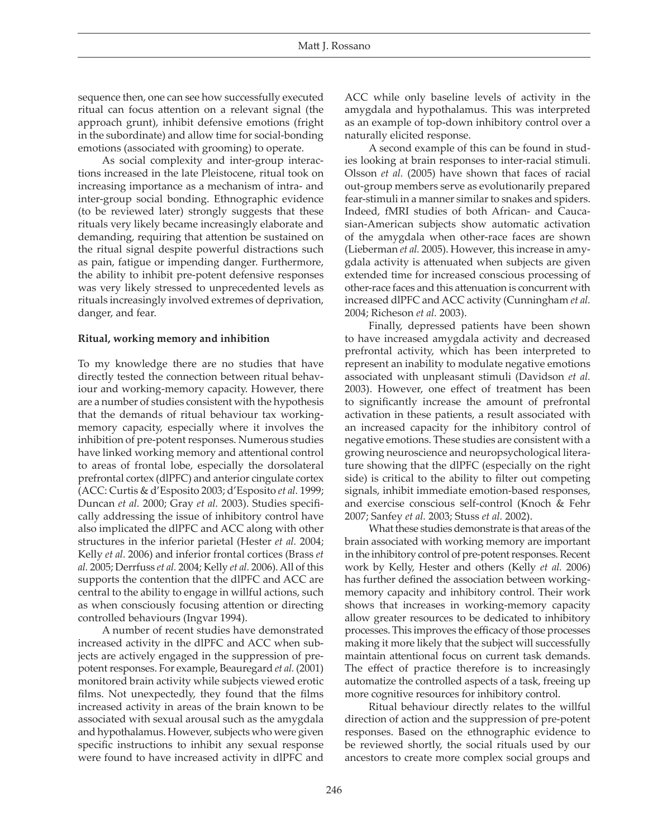sequence then, one can see how successfully executed ritual can focus attention on a relevant signal (the approach grunt), inhibit defensive emotions (fright in the subordinate) and allow time for social-bonding emotions (associated with grooming) to operate.

As social complexity and inter-group interactions increased in the late Pleistocene, ritual took on increasing importance as a mechanism of intra- and inter-group social bonding. Ethnographic evidence (to be reviewed later) strongly suggests that these rituals very likely became increasingly elaborate and demanding, requiring that attention be sustained on the ritual signal despite powerful distractions such as pain, fatigue or impending danger. Furthermore, the ability to inhibit pre-potent defensive responses was very likely stressed to unprecedented levels as rituals increasingly involved extremes of deprivation, danger, and fear.

#### **Ritual, working memory and inhibition**

To my knowledge there are no studies that have directly tested the connection between ritual behaviour and working-memory capacity. However, there are a number of studies consistent with the hypothesis that the demands of ritual behaviour tax workingmemory capacity, especially where it involves the inhibition of pre-potent responses. Numerous studies have linked working memory and attentional control to areas of frontal lobe, especially the dorsolateral prefrontal cortex (dlPFC) and anterior cingulate cortex (ACC: Curtis & d'Esposito 2003; d'Esposito *et al.* 1999; Duncan *et al.* 2000; Gray *et al.* 2003). Studies specifically addressing the issue of inhibitory control have also implicated the dlPFC and ACC along with other structures in the inferior parietal (Hester *et al.* 2004; Kelly *et al.* 2006) and inferior frontal cortices (Brass *et al.* 2005; Derrfuss *et al.* 2004; Kelly *et al.* 2006). All of this supports the contention that the dlPFC and ACC are central to the ability to engage in willful actions, such as when consciously focusing attention or directing controlled behaviours (Ingvar 1994).

A number of recent studies have demonstrated increased activity in the dlPFC and ACC when subjects are actively engaged in the suppression of prepotent responses. For example, Beauregard *et al.* (2001) monitored brain activity while subjects viewed erotic films. Not unexpectedly, they found that the films increased activity in areas of the brain known to be associated with sexual arousal such as the amygdala and hypothalamus. However, subjects who were given specific instructions to inhibit any sexual response were found to have increased activity in dlPFC and

ACC while only baseline levels of activity in the amygdala and hypothalamus. This was interpreted as an example of top-down inhibitory control over a naturally elicited response.

A second example of this can be found in studies looking at brain responses to inter-racial stimuli. Olsson *et al.* (2005) have shown that faces of racial out-group members serve as evolutionarily prepared fear-stimuli in a manner similar to snakes and spiders. Indeed, fMRI studies of both African- and Caucasian-American subjects show automatic activation of the amygdala when other-race faces are shown (Lieberman *et al.* 2005). However, this increase in amygdala activity is attenuated when subjects are given extended time for increased conscious processing of other-race faces and this attenuation is concurrent with increased dlPFC and ACC activity (Cunningham *et al.* 2004; Richeson *et al.* 2003).

Finally, depressed patients have been shown to have increased amygdala activity and decreased prefrontal activity, which has been interpreted to represent an inability to modulate negative emotions associated with unpleasant stimuli (Davidson *et al.*  2003). However, one effect of treatment has been to significantly increase the amount of prefrontal activation in these patients, a result associated with an increased capacity for the inhibitory control of negative emotions. These studies are consistent with a growing neuroscience and neuropsychological literature showing that the dlPFC (especially on the right side) is critical to the ability to filter out competing signals, inhibit immediate emotion-based responses, and exercise conscious self-control (Knoch & Fehr 2007; Sanfey *et al.* 2003; Stuss *et al.* 2002).

What these studies demonstrate is that areas of the brain associated with working memory are important in the inhibitory control of pre-potent responses. Recent work by Kelly, Hester and others (Kelly *et al.* 2006) has further defined the association between workingmemory capacity and inhibitory control. Their work shows that increases in working-memory capacity allow greater resources to be dedicated to inhibitory processes. This improves the efficacy of those processes making it more likely that the subject will successfully maintain attentional focus on current task demands. The effect of practice therefore is to increasingly automatize the controlled aspects of a task, freeing up more cognitive resources for inhibitory control.

Ritual behaviour directly relates to the willful direction of action and the suppression of pre-potent responses. Based on the ethnographic evidence to be reviewed shortly, the social rituals used by our ancestors to create more complex social groups and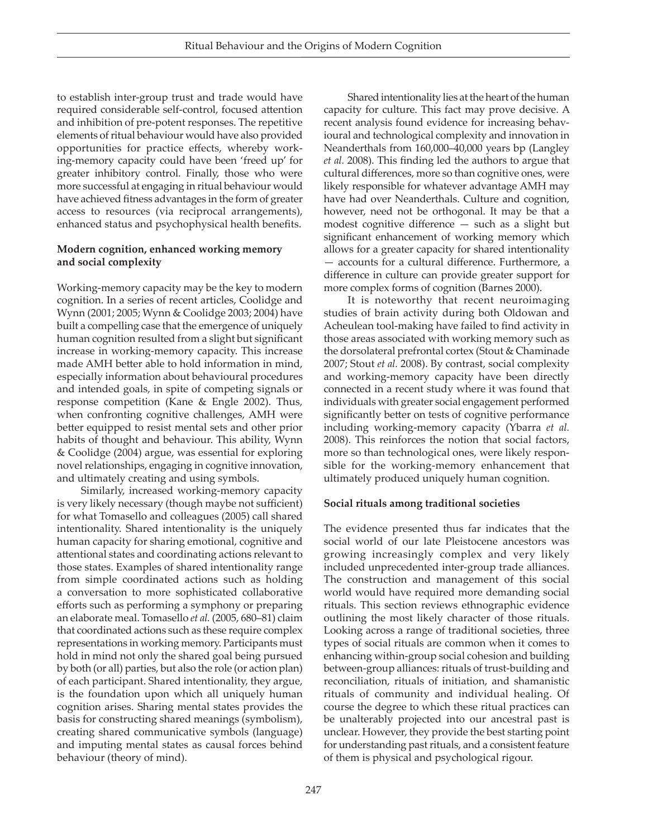to establish inter-group trust and trade would have required considerable self-control, focused attention and inhibition of pre-potent responses. The repetitive elements of ritual behaviour would have also provided opportunities for practice effects, whereby working-memory capacity could have been 'freed up' for greater inhibitory control. Finally, those who were more successful at engaging in ritual behaviour would have achieved fitness advantages in the form of greater access to resources (via reciprocal arrangements), enhanced status and psychophysical health benefits.

# **Modern cognition, enhanced working memory and social complexity**

Working-memory capacity may be the key to modern cognition. In a series of recent articles, Coolidge and Wynn (2001; 2005; Wynn & Coolidge 2003; 2004) have built a compelling case that the emergence of uniquely human cognition resulted from a slight but significant increase in working-memory capacity. This increase made AMH better able to hold information in mind, especially information about behavioural procedures and intended goals, in spite of competing signals or response competition (Kane & Engle 2002). Thus, when confronting cognitive challenges, AMH were better equipped to resist mental sets and other prior habits of thought and behaviour. This ability, Wynn & Coolidge (2004) argue, was essential for exploring novel relationships, engaging in cognitive innovation, and ultimately creating and using symbols.

Similarly, increased working-memory capacity is very likely necessary (though maybe not sufficient) for what Tomasello and colleagues (2005) call shared intentionality. Shared intentionality is the uniquely human capacity for sharing emotional, cognitive and attentional states and coordinating actions relevant to those states. Examples of shared intentionality range from simple coordinated actions such as holding a conversation to more sophisticated collaborative efforts such as performing a symphony or preparing an elaborate meal. Tomasello *et al.* (2005, 680–81) claim that coordinated actions such as these require complex representations in working memory. Participants must hold in mind not only the shared goal being pursued by both (or all) parties, but also the role (or action plan) of each participant. Shared intentionality, they argue, is the foundation upon which all uniquely human cognition arises. Sharing mental states provides the basis for constructing shared meanings (symbolism), creating shared communicative symbols (language) and imputing mental states as causal forces behind behaviour (theory of mind).

Shared intentionality lies at the heart of the human capacity for culture. This fact may prove decisive. A recent analysis found evidence for increasing behavioural and technological complexity and innovation in Neanderthals from 160,000–40,000 years bp (Langley *et al.* 2008). This finding led the authors to argue that cultural differences, more so than cognitive ones, were likely responsible for whatever advantage AMH may have had over Neanderthals. Culture and cognition, however, need not be orthogonal. It may be that a modest cognitive difference — such as a slight but significant enhancement of working memory which allows for a greater capacity for shared intentionality — accounts for a cultural difference. Furthermore, a difference in culture can provide greater support for more complex forms of cognition (Barnes 2000).

It is noteworthy that recent neuroimaging studies of brain activity during both Oldowan and Acheulean tool-making have failed to find activity in those areas associated with working memory such as the dorsolateral prefrontal cortex (Stout & Chaminade 2007; Stout *et al.* 2008). By contrast, social complexity and working-memory capacity have been directly connected in a recent study where it was found that individuals with greater social engagement performed significantly better on tests of cognitive performance including working-memory capacity (Ybarra *et al.*  2008). This reinforces the notion that social factors, more so than technological ones, were likely responsible for the working-memory enhancement that ultimately produced uniquely human cognition.

# **Social rituals among traditional societies**

The evidence presented thus far indicates that the social world of our late Pleistocene ancestors was growing increasingly complex and very likely included unprecedented inter-group trade alliances. The construction and management of this social world would have required more demanding social rituals. This section reviews ethnographic evidence outlining the most likely character of those rituals. Looking across a range of traditional societies, three types of social rituals are common when it comes to enhancing within-group social cohesion and building between-group alliances: rituals of trust-building and reconciliation, rituals of initiation, and shamanistic rituals of community and individual healing. Of course the degree to which these ritual practices can be unalterably projected into our ancestral past is unclear. However, they provide the best starting point for understanding past rituals, and a consistent feature of them is physical and psychological rigour.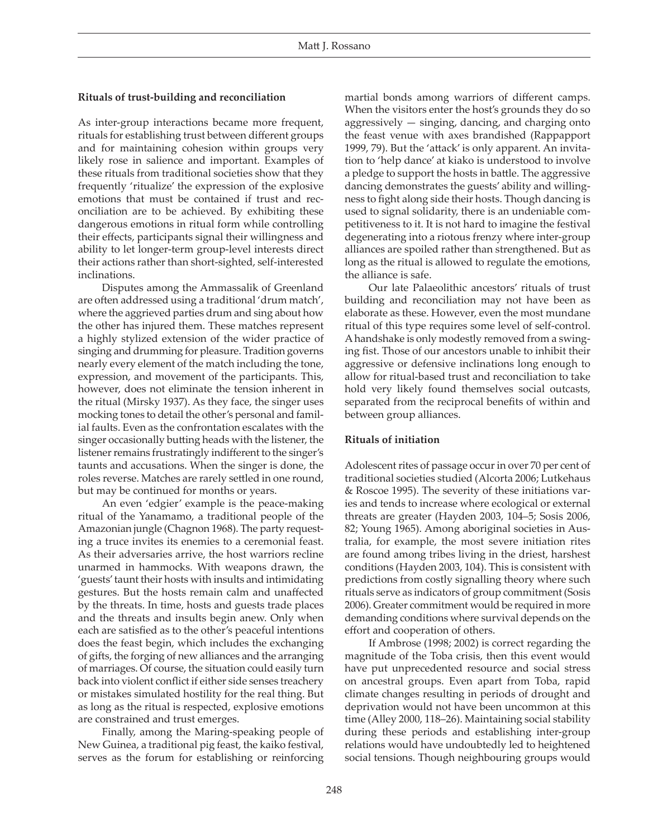#### **Rituals of trust-building and reconciliation**

As inter-group interactions became more frequent, rituals for establishing trust between different groups and for maintaining cohesion within groups very likely rose in salience and important. Examples of these rituals from traditional societies show that they frequently 'ritualize' the expression of the explosive emotions that must be contained if trust and reconciliation are to be achieved. By exhibiting these dangerous emotions in ritual form while controlling their effects, participants signal their willingness and ability to let longer-term group-level interests direct their actions rather than short-sighted, self-interested inclinations.

Disputes among the Ammassalik of Greenland are often addressed using a traditional 'drum match', where the aggrieved parties drum and sing about how the other has injured them. These matches represent a highly stylized extension of the wider practice of singing and drumming for pleasure. Tradition governs nearly every element of the match including the tone, expression, and movement of the participants. This, however, does not eliminate the tension inherent in the ritual (Mirsky 1937). As they face, the singer uses mocking tones to detail the other's personal and familial faults. Even as the confrontation escalates with the singer occasionally butting heads with the listener, the listener remains frustratingly indifferent to the singer's taunts and accusations. When the singer is done, the roles reverse. Matches are rarely settled in one round, but may be continued for months or years.

An even 'edgier' example is the peace-making ritual of the Yanamamo, a traditional people of the Amazonian jungle (Chagnon 1968). The party requesting a truce invites its enemies to a ceremonial feast. As their adversaries arrive, the host warriors recline unarmed in hammocks. With weapons drawn, the 'guests' taunt their hosts with insults and intimidating gestures. But the hosts remain calm and unaffected by the threats. In time, hosts and guests trade places and the threats and insults begin anew. Only when each are satisfied as to the other's peaceful intentions does the feast begin, which includes the exchanging of gifts, the forging of new alliances and the arranging of marriages. Of course, the situation could easily turn back into violent conflict if either side senses treachery or mistakes simulated hostility for the real thing. But as long as the ritual is respected, explosive emotions are constrained and trust emerges.

Finally, among the Maring-speaking people of New Guinea, a traditional pig feast, the kaiko festival, serves as the forum for establishing or reinforcing

martial bonds among warriors of different camps. When the visitors enter the host's grounds they do so aggressively — singing, dancing, and charging onto the feast venue with axes brandished (Rappapport 1999, 79). But the 'attack' is only apparent. An invitation to 'help dance' at kiako is understood to involve a pledge to support the hosts in battle. The aggressive dancing demonstrates the guests' ability and willingness to fight along side their hosts. Though dancing is used to signal solidarity, there is an undeniable competitiveness to it. It is not hard to imagine the festival degenerating into a riotous frenzy where inter-group alliances are spoiled rather than strengthened. But as long as the ritual is allowed to regulate the emotions, the alliance is safe.

Our late Palaeolithic ancestors' rituals of trust building and reconciliation may not have been as elaborate as these. However, even the most mundane ritual of this type requires some level of self-control. A handshake is only modestly removed from a swinging fist. Those of our ancestors unable to inhibit their aggressive or defensive inclinations long enough to allow for ritual-based trust and reconciliation to take hold very likely found themselves social outcasts, separated from the reciprocal benefits of within and between group alliances.

# **Rituals of initiation**

Adolescent rites of passage occur in over 70 per cent of traditional societies studied (Alcorta 2006; Lutkehaus & Roscoe 1995). The severity of these initiations varies and tends to increase where ecological or external threats are greater (Hayden 2003, 104–5; Sosis 2006, 82; Young 1965). Among aboriginal societies in Australia, for example, the most severe initiation rites are found among tribes living in the driest, harshest conditions (Hayden 2003, 104). This is consistent with predictions from costly signalling theory where such rituals serve as indicators of group commitment (Sosis 2006). Greater commitment would be required in more demanding conditions where survival depends on the effort and cooperation of others.

If Ambrose (1998; 2002) is correct regarding the magnitude of the Toba crisis, then this event would have put unprecedented resource and social stress on ancestral groups. Even apart from Toba, rapid climate changes resulting in periods of drought and deprivation would not have been uncommon at this time (Alley 2000, 118–26). Maintaining social stability during these periods and establishing inter-group relations would have undoubtedly led to heightened social tensions. Though neighbouring groups would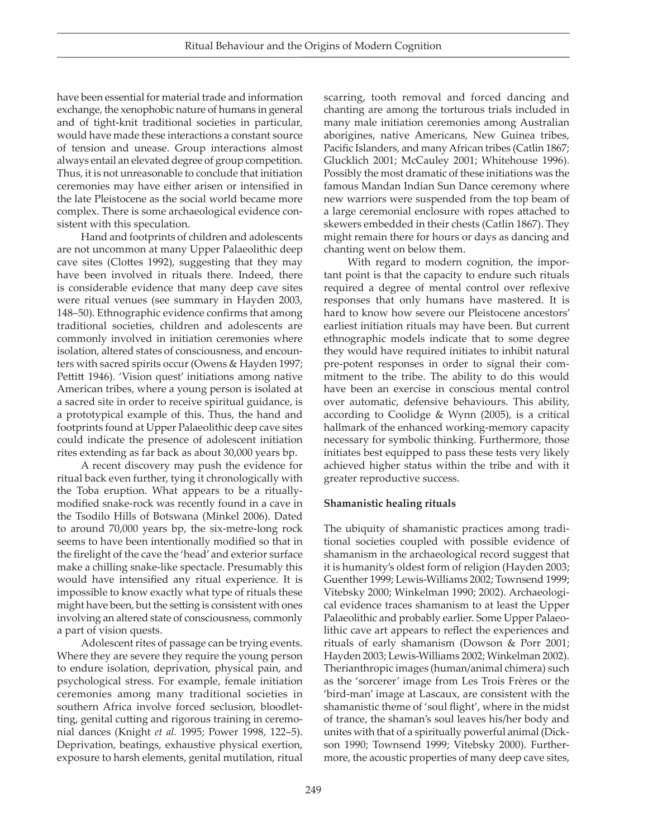have been essential for material trade and information exchange, the xenophobic nature of humans in general and of tight-knit traditional societies in particular, would have made these interactions a constant source of tension and unease. Group interactions almost always entail an elevated degree of group competition. Thus, it is not unreasonable to conclude that initiation ceremonies may have either arisen or intensified in the late Pleistocene as the social world became more complex. There is some archaeological evidence consistent with this speculation.

Hand and footprints of children and adolescents are not uncommon at many Upper Palaeolithic deep cave sites (Clottes 1992), suggesting that they may have been involved in rituals there. Indeed, there is considerable evidence that many deep cave sites were ritual venues (see summary in Hayden 2003, 148–50). Ethnographic evidence confirms that among traditional societies, children and adolescents are commonly involved in initiation ceremonies where isolation, altered states of consciousness, and encounters with sacred spirits occur (Owens & Hayden 1997; Pettitt 1946). 'Vision quest' initiations among native American tribes, where a young person is isolated at a sacred site in order to receive spiritual guidance, is a prototypical example of this. Thus, the hand and footprints found at Upper Palaeolithic deep cave sites could indicate the presence of adolescent initiation rites extending as far back as about 30,000 years bp.

A recent discovery may push the evidence for ritual back even further, tying it chronologically with the Toba eruption. What appears to be a rituallymodified snake-rock was recently found in a cave in the Tsodilo Hills of Botswana (Minkel 2006). Dated to around 70,000 years bp, the six-metre-long rock seems to have been intentionally modified so that in the firelight of the cave the 'head' and exterior surface make a chilling snake-like spectacle. Presumably this would have intensified any ritual experience. It is impossible to know exactly what type of rituals these might have been, but the setting is consistent with ones involving an altered state of consciousness, commonly a part of vision quests.

Adolescent rites of passage can be trying events. Where they are severe they require the young person to endure isolation, deprivation, physical pain, and psychological stress. For example, female initiation ceremonies among many traditional societies in southern Africa involve forced seclusion, bloodletting, genital cutting and rigorous training in ceremonial dances (Knight *et al.* 1995; Power 1998, 122–5). Deprivation, beatings, exhaustive physical exertion, exposure to harsh elements, genital mutilation, ritual scarring, tooth removal and forced dancing and chanting are among the torturous trials included in many male initiation ceremonies among Australian aborigines, native Americans, New Guinea tribes, Pacific Islanders, and many African tribes (Catlin 1867; Glucklich 2001; McCauley 2001; Whitehouse 1996). Possibly the most dramatic of these initiations was the famous Mandan Indian Sun Dance ceremony where new warriors were suspended from the top beam of a large ceremonial enclosure with ropes attached to skewers embedded in their chests (Catlin 1867). They might remain there for hours or days as dancing and chanting went on below them.

With regard to modern cognition, the important point is that the capacity to endure such rituals required a degree of mental control over reflexive responses that only humans have mastered. It is hard to know how severe our Pleistocene ancestors' earliest initiation rituals may have been. But current ethnographic models indicate that to some degree they would have required initiates to inhibit natural pre-potent responses in order to signal their commitment to the tribe. The ability to do this would have been an exercise in conscious mental control over automatic, defensive behaviours. This ability, according to Coolidge & Wynn (2005), is a critical hallmark of the enhanced working-memory capacity necessary for symbolic thinking. Furthermore, those initiates best equipped to pass these tests very likely achieved higher status within the tribe and with it greater reproductive success.

#### **Shamanistic healing rituals**

The ubiquity of shamanistic practices among traditional societies coupled with possible evidence of shamanism in the archaeological record suggest that it is humanity's oldest form of religion (Hayden 2003; Guenther 1999; Lewis-Williams 2002; Townsend 1999; Vitebsky 2000; Winkelman 1990; 2002). Archaeological evidence traces shamanism to at least the Upper Palaeolithic and probably earlier. Some Upper Palaeolithic cave art appears to reflect the experiences and rituals of early shamanism (Dowson & Porr 2001; Hayden 2003; Lewis-Williams 2002; Winkelman 2002). Therianthropic images (human/animal chimera) such as the 'sorcerer' image from Les Trois Frères or the 'bird-man' image at Lascaux, are consistent with the shamanistic theme of 'soul flight', where in the midst of trance, the shaman's soul leaves his/her body and unites with that of a spiritually powerful animal (Dickson 1990; Townsend 1999; Vitebsky 2000). Furthermore, the acoustic properties of many deep cave sites,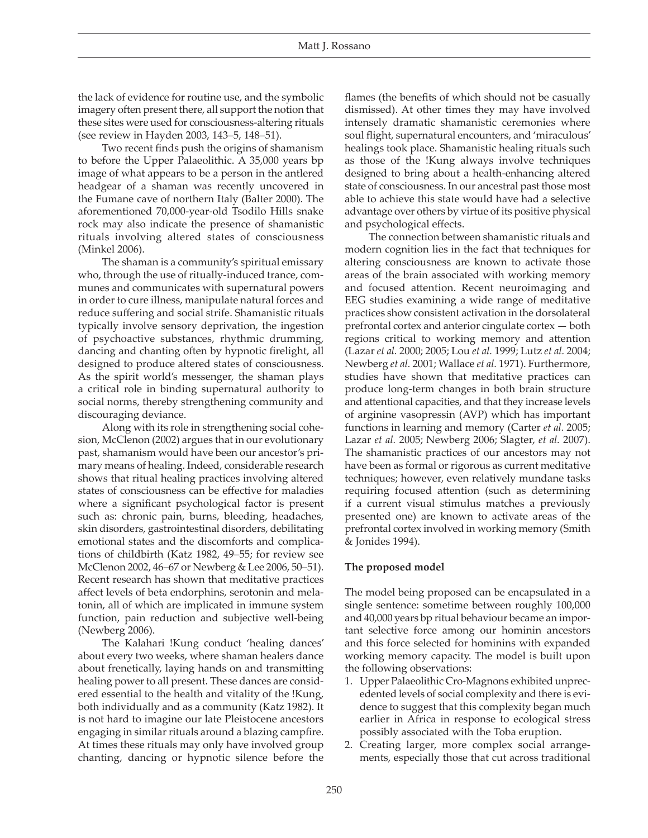the lack of evidence for routine use, and the symbolic imagery often present there, all support the notion that these sites were used for consciousness-altering rituals (see review in Hayden 2003, 143–5, 148–51).

Two recent finds push the origins of shamanism to before the Upper Palaeolithic. A 35,000 years bp image of what appears to be a person in the antlered headgear of a shaman was recently uncovered in the Fumane cave of northern Italy (Balter 2000). The aforementioned 70,000-year-old Tsodilo Hills snake rock may also indicate the presence of shamanistic rituals involving altered states of consciousness (Minkel 2006).

The shaman is a community's spiritual emissary who, through the use of ritually-induced trance, communes and communicates with supernatural powers in order to cure illness, manipulate natural forces and reduce suffering and social strife. Shamanistic rituals typically involve sensory deprivation, the ingestion of psychoactive substances, rhythmic drumming, dancing and chanting often by hypnotic firelight, all designed to produce altered states of consciousness. As the spirit world's messenger, the shaman plays a critical role in binding supernatural authority to social norms, thereby strengthening community and discouraging deviance.

Along with its role in strengthening social cohesion, McClenon (2002) argues that in our evolutionary past, shamanism would have been our ancestor's primary means of healing. Indeed, considerable research shows that ritual healing practices involving altered states of consciousness can be effective for maladies where a significant psychological factor is present such as: chronic pain, burns, bleeding, headaches, skin disorders, gastrointestinal disorders, debilitating emotional states and the discomforts and complications of childbirth (Katz 1982, 49–55; for review see McClenon 2002, 46–67 or Newberg & Lee 2006, 50–51). Recent research has shown that meditative practices affect levels of beta endorphins, serotonin and melatonin, all of which are implicated in immune system function, pain reduction and subjective well-being (Newberg 2006).

The Kalahari !Kung conduct 'healing dances' about every two weeks, where shaman healers dance about frenetically, laying hands on and transmitting healing power to all present. These dances are considered essential to the health and vitality of the !Kung, both individually and as a community (Katz 1982). It is not hard to imagine our late Pleistocene ancestors engaging in similar rituals around a blazing campfire. At times these rituals may only have involved group chanting, dancing or hypnotic silence before the flames (the benefits of which should not be casually dismissed). At other times they may have involved intensely dramatic shamanistic ceremonies where soul flight, supernatural encounters, and 'miraculous' healings took place. Shamanistic healing rituals such as those of the !Kung always involve techniques designed to bring about a health-enhancing altered state of consciousness. In our ancestral past those most able to achieve this state would have had a selective advantage over others by virtue of its positive physical and psychological effects.

The connection between shamanistic rituals and modern cognition lies in the fact that techniques for altering consciousness are known to activate those areas of the brain associated with working memory and focused attention. Recent neuroimaging and EEG studies examining a wide range of meditative practices show consistent activation in the dorsolateral prefrontal cortex and anterior cingulate cortex — both regions critical to working memory and attention (Lazar *et al.* 2000; 2005; Lou *et al.* 1999; Lutz *et al.* 2004; Newberg *et al.* 2001; Wallace *et al.* 1971). Furthermore, studies have shown that meditative practices can produce long-term changes in both brain structure and attentional capacities, and that they increase levels of arginine vasopressin (AVP) which has important functions in learning and memory (Carter *et al.* 2005; Lazar *et al.* 2005; Newberg 2006; Slagter, *et al.* 2007). The shamanistic practices of our ancestors may not have been as formal or rigorous as current meditative techniques; however, even relatively mundane tasks requiring focused attention (such as determining if a current visual stimulus matches a previously presented one) are known to activate areas of the prefrontal cortex involved in working memory (Smith & Jonides 1994).

#### **The proposed model**

The model being proposed can be encapsulated in a single sentence: sometime between roughly 100,000 and 40,000 years bp ritual behaviour became an important selective force among our hominin ancestors and this force selected for hominins with expanded working memory capacity. The model is built upon the following observations:

- 1. Upper Palaeolithic Cro-Magnons exhibited unprecedented levels of social complexity and there is evidence to suggest that this complexity began much earlier in Africa in response to ecological stress possibly associated with the Toba eruption.
- 2. Creating larger, more complex social arrangements, especially those that cut across traditional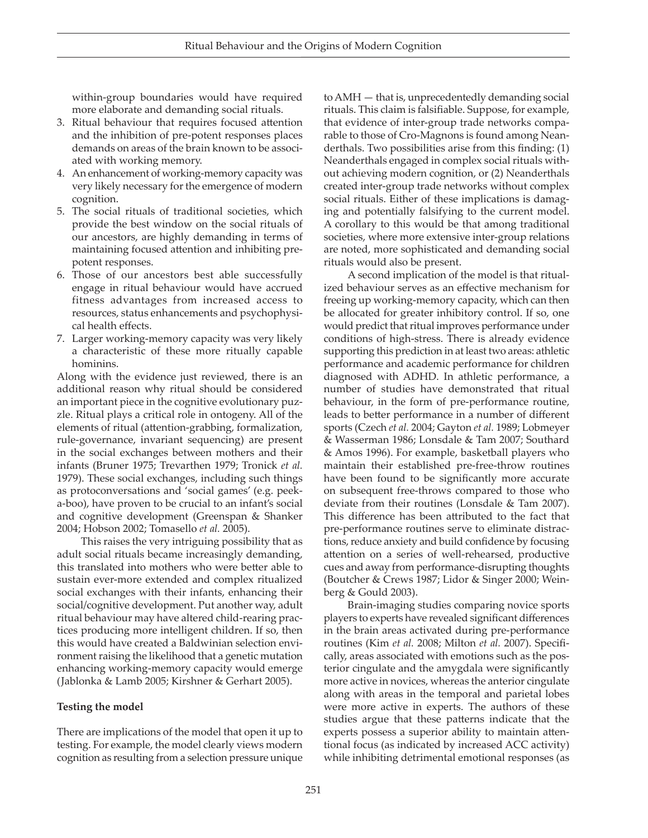within-group boundaries would have required more elaborate and demanding social rituals.

- 3. Ritual behaviour that requires focused attention and the inhibition of pre-potent responses places demands on areas of the brain known to be associated with working memory.
- 4. An enhancement of working-memory capacity was very likely necessary for the emergence of modern cognition.
- 5. The social rituals of traditional societies, which provide the best window on the social rituals of our ancestors, are highly demanding in terms of maintaining focused attention and inhibiting prepotent responses.
- 6. Those of our ancestors best able successfully engage in ritual behaviour would have accrued fitness advantages from increased access to resources, status enhancements and psychophysical health effects.
- 7. Larger working-memory capacity was very likely a characteristic of these more ritually capable hominins.

Along with the evidence just reviewed, there is an additional reason why ritual should be considered an important piece in the cognitive evolutionary puzzle. Ritual plays a critical role in ontogeny. All of the elements of ritual (attention-grabbing, formalization, rule-governance, invariant sequencing) are present in the social exchanges between mothers and their infants (Bruner 1975; Trevarthen 1979; Tronick *et al.*  1979). These social exchanges, including such things as protoconversations and 'social games' (e.g. peeka-boo), have proven to be crucial to an infant's social and cognitive development (Greenspan & Shanker 2004; Hobson 2002; Tomasello *et al.* 2005).

This raises the very intriguing possibility that as adult social rituals became increasingly demanding, this translated into mothers who were better able to sustain ever-more extended and complex ritualized social exchanges with their infants, enhancing their social/cognitive development. Put another way, adult ritual behaviour may have altered child-rearing practices producing more intelligent children. If so, then this would have created a Baldwinian selection environment raising the likelihood that a genetic mutation enhancing working-memory capacity would emerge (Jablonka & Lamb 2005; Kirshner & Gerhart 2005).

# **Testing the model**

There are implications of the model that open it up to testing. For example, the model clearly views modern cognition as resulting from a selection pressure unique to AMH — that is, unprecedentedly demanding social rituals. This claim is falsifiable. Suppose, for example, that evidence of inter-group trade networks comparable to those of Cro-Magnons is found among Neanderthals. Two possibilities arise from this finding: (1) Neanderthals engaged in complex social rituals without achieving modern cognition, or (2) Neanderthals created inter-group trade networks without complex social rituals. Either of these implications is damaging and potentially falsifying to the current model. A corollary to this would be that among traditional societies, where more extensive inter-group relations are noted, more sophisticated and demanding social rituals would also be present.

A second implication of the model is that ritualized behaviour serves as an effective mechanism for freeing up working-memory capacity, which can then be allocated for greater inhibitory control. If so, one would predict that ritual improves performance under conditions of high-stress. There is already evidence supporting this prediction in at least two areas: athletic performance and academic performance for children diagnosed with ADHD. In athletic performance, a number of studies have demonstrated that ritual behaviour, in the form of pre-performance routine, leads to better performance in a number of different sports (Czech *et al.* 2004; Gayton *et al.* 1989; Lobmeyer & Wasserman 1986; Lonsdale & Tam 2007; Southard & Amos 1996). For example, basketball players who maintain their established pre-free-throw routines have been found to be significantly more accurate on subsequent free-throws compared to those who deviate from their routines (Lonsdale & Tam 2007). This difference has been attributed to the fact that pre-performance routines serve to eliminate distractions, reduce anxiety and build confidence by focusing attention on a series of well-rehearsed, productive cues and away from performance-disrupting thoughts (Boutcher & Crews 1987; Lidor & Singer 2000; Weinberg & Gould 2003).

Brain-imaging studies comparing novice sports players to experts have revealed significant differences in the brain areas activated during pre-performance routines (Kim *et al.* 2008; Milton *et al.* 2007). Specifically, areas associated with emotions such as the posterior cingulate and the amygdala were significantly more active in novices, whereas the anterior cingulate along with areas in the temporal and parietal lobes were more active in experts. The authors of these studies argue that these patterns indicate that the experts possess a superior ability to maintain attentional focus (as indicated by increased ACC activity) while inhibiting detrimental emotional responses (as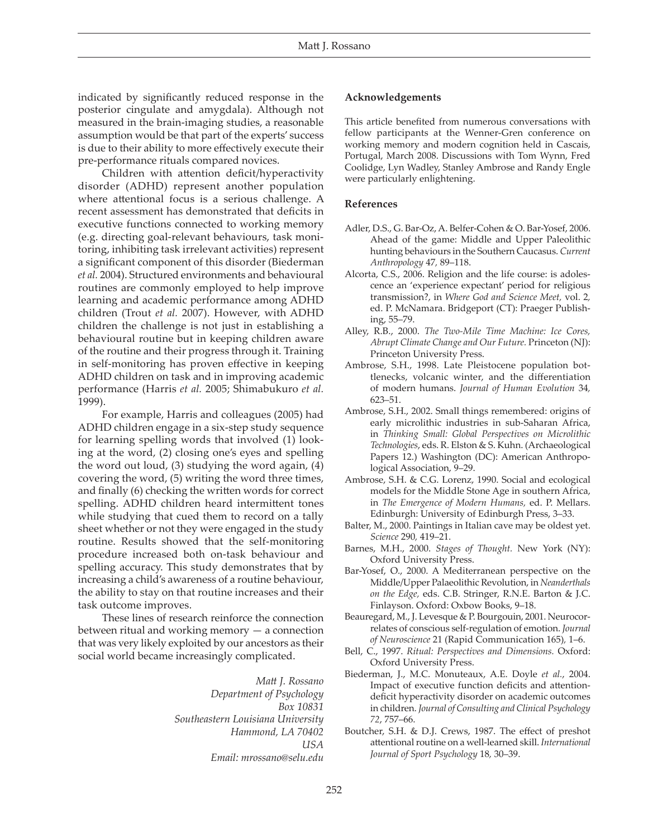indicated by significantly reduced response in the posterior cingulate and amygdala). Although not measured in the brain-imaging studies, a reasonable assumption would be that part of the experts' success is due to their ability to more effectively execute their pre-performance rituals compared novices.

Children with attention deficit/hyperactivity disorder (ADHD) represent another population where attentional focus is a serious challenge. A recent assessment has demonstrated that deficits in executive functions connected to working memory (e.g. directing goal-relevant behaviours, task monitoring, inhibiting task irrelevant activities) represent a significant component of this disorder (Biederman *et al.* 2004). Structured environments and behavioural routines are commonly employed to help improve learning and academic performance among ADHD children (Trout *et al.* 2007). However, with ADHD children the challenge is not just in establishing a behavioural routine but in keeping children aware of the routine and their progress through it. Training in self-monitoring has proven effective in keeping ADHD children on task and in improving academic performance (Harris *et al.* 2005; Shimabukuro *et al.* 1999).

For example, Harris and colleagues (2005) had ADHD children engage in a six-step study sequence for learning spelling words that involved (1) looking at the word, (2) closing one's eyes and spelling the word out loud, (3) studying the word again, (4) covering the word, (5) writing the word three times, and finally (6) checking the written words for correct spelling. ADHD children heard intermittent tones while studying that cued them to record on a tally sheet whether or not they were engaged in the study routine. Results showed that the self-monitoring procedure increased both on-task behaviour and spelling accuracy. This study demonstrates that by increasing a child's awareness of a routine behaviour, the ability to stay on that routine increases and their task outcome improves.

These lines of research reinforce the connection between ritual and working memory — a connection that was very likely exploited by our ancestors as their social world became increasingly complicated.

> *Matt J. Rossano Department of Psychology Box 10831 Southeastern Louisiana University Hammond, LA 70402 USA Email: mrossano@selu.edu*

#### **Acknowledgements**

This article benefited from numerous conversations with fellow participants at the Wenner-Gren conference on working memory and modern cognition held in Cascais, Portugal, March 2008. Discussions with Tom Wynn, Fred Coolidge, Lyn Wadley, Stanley Ambrose and Randy Engle were particularly enlightening.

#### **References**

- Adler, D.S., G. Bar-Oz, A. Belfer-Cohen & O. Bar-Yosef, 2006. Ahead of the game: Middle and Upper Paleolithic hunting behaviours in the Southern Caucasus. *Current Anthropology* 47*,* 89–118.
- Alcorta, C.S., 2006. Religion and the life course: is adolescence an 'experience expectant' period for religious transmission?, in *Where God and Science Meet,* vol. 2*,* ed. P. McNamara. Bridgeport (CT): Praeger Publishing, 55–79.
- Alley, R.B., 2000. *The Two-Mile Time Machine: Ice Cores, Abrupt Climate Change and Our Future.* Princeton (NJ): Princeton University Press.
- Ambrose, S.H., 1998. Late Pleistocene population bottlenecks, volcanic winter, and the differentiation of modern humans. *Journal of Human Evolution* 34*,*  623–51.
- Ambrose, S.H., 2002. Small things remembered: origins of early microlithic industries in sub-Saharan Africa, in *Thinking Small: Global Perspectives on Microlithic Technologies*, eds. R. Elston & S. Kuhn. (Archaeological Papers 12.) Washington (DC): American Anthropological Association, 9–29.
- Ambrose, S.H. & C.G. Lorenz, 1990. Social and ecological models for the Middle Stone Age in southern Africa, in *The Emergence of Modern Humans,* ed. P. Mellars. Edinburgh: University of Edinburgh Press, 3–33.
- Balter, M., 2000. Paintings in Italian cave may be oldest yet. *Science* 290*,* 419–21.
- Barnes, M.H., 2000. *Stages of Thought.* New York (NY): Oxford University Press.
- Bar-Yosef, O., 2000. A Mediterranean perspective on the Middle/Upper Palaeolithic Revolution, in *Neanderthals on the Edge,* eds. C.B. Stringer, R.N.E. Barton & J.C. Finlayson. Oxford: Oxbow Books, 9–18.
- Beauregard, M., J. Levesque & P. Bourgouin, 2001. Neurocorrelates of conscious self-regulation of emotion. *Journal of Neuroscience* 21 (Rapid Communication 165)*,* 1–6.
- Bell, C., 1997. *Ritual: Perspectives and Dimensions.* Oxford: Oxford University Press.
- Biederman, J., M.C. Monuteaux, A.E. Doyle *et al.*, 2004. Impact of executive function deficits and attentiondeficit hyperactivity disorder on academic outcomes in children. *Journal of Consulting and Clinical Psychology 72*, 757–66.
- Boutcher, S.H. & D.J. Crews, 1987. The effect of preshot attentional routine on a well-learned skill. *International Journal of Sport Psychology* 18*,* 30–39.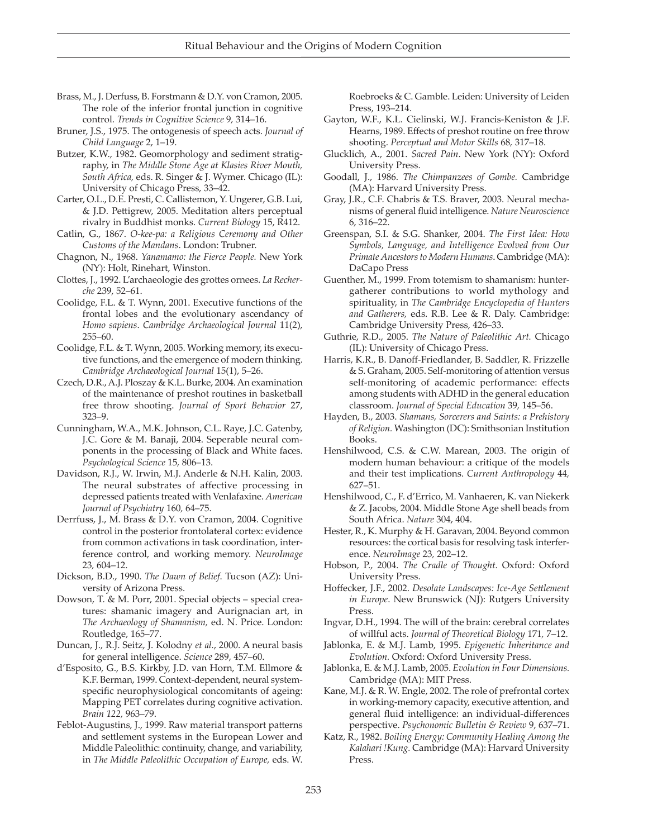- Brass, M., J. Derfuss, B. Forstmann & D.Y. von Cramon, 2005. The role of the inferior frontal junction in cognitive control. *Trends in Cognitive Science* 9*,* 314–16.
- Bruner, J.S., 1975. The ontogenesis of speech acts. *Journal of Child Language* 2, 1–19.
- Butzer, K.W., 1982. Geomorphology and sediment stratigraphy, in *The Middle Stone Age at Klasies River Mouth, South Africa,* eds. R. Singer & J. Wymer. Chicago (IL): University of Chicago Press, 33–42.
- Carter, O.L., D.E. Presti, C. Callistemon, Y. Ungerer, G.B. Lui, & J.D. Pettigrew, 2005. Meditation alters perceptual rivalry in Buddhist monks. *Current Biology* 15, R412.
- Catlin, G., 1867. *O-kee-pa: a Religious Ceremony and Other Customs of the Mandans*. London: Trubner.
- Chagnon, N., 1968. *Yanamamo: the Fierce People.* New York (NY): Holt, Rinehart, Winston.
- Clottes, J., 1992. L'archaeologie des grottes ornees. *La Recherche* 239, 52–61.
- Coolidge, F.L. & T. Wynn, 2001. Executive functions of the frontal lobes and the evolutionary ascendancy of *Homo sapiens*. *Cambridge Archaeological Journal* 11(2), 255–60.
- Coolidge, F.L. & T. Wynn, 2005. Working memory, its executive functions, and the emergence of modern thinking. *Cambridge Archaeological Journal* 15(1), 5–26.
- Czech, D.R., A.J. Ploszay & K.L. Burke, 2004. An examination of the maintenance of preshot routines in basketball free throw shooting. *Journal of Sport Behavior* 27, 323–9.
- Cunningham, W.A., M.K. Johnson, C.L. Raye, J.C. Gatenby, J.C. Gore & M. Banaji, 2004. Seperable neural components in the processing of Black and White faces. *Psychological Science* 15*,* 806–13.
- Davidson, R.J., W. Irwin, M.J. Anderle & N.H. Kalin, 2003. The neural substrates of affective processing in depressed patients treated with Venlafaxine. *American Journal of Psychiatry* 160*,* 64–75.
- Derrfuss, J., M. Brass & D.Y. von Cramon, 2004. Cognitive control in the posterior frontolateral cortex: evidence from common activations in task coordination, interference control, and working memory. *NeuroImage*  23*,* 604–12.
- Dickson, B.D., 1990. *The Dawn of Belief*. Tucson (AZ): University of Arizona Press.
- Dowson, T. & M. Porr, 2001. Special objects special creatures: shamanic imagery and Aurignacian art, in *The Archaeology of Shamanism,* ed. N. Price. London: Routledge, 165–77.
- Duncan, J., R.J. Seitz, J. Kolodny *et al.*, 2000. A neural basis for general intelligence. *Science* 289, 457–60.
- d'Esposito, G., B.S. Kirkby, J.D. van Horn, T.M. Ellmore & K.F. Berman, 1999. Context-dependent, neural systemspecific neurophysiological concomitants of ageing: Mapping PET correlates during cognitive activation. *Brain 122,* 963–79.
- Feblot-Augustins, J., 1999. Raw material transport patterns and settlement systems in the European Lower and Middle Paleolithic: continuity, change, and variability, in *The Middle Paleolithic Occupation of Europe,* eds. W.

Roebroeks & C. Gamble. Leiden: University of Leiden Press, 193–214.

- Gayton, W.F., K.L. Cielinski, W.J. Francis-Keniston & J.F. Hearns, 1989. Effects of preshot routine on free throw shooting. *Perceptual and Motor Skills* 68*,* 317–18.
- Glucklich, A., 2001. *Sacred Pain*. New York (NY): Oxford University Press.
- Goodall, J., 1986. *The Chimpanzees of Gombe.* Cambridge (MA): Harvard University Press.
- Gray, J.R., C.F. Chabris & T.S. Braver, 2003. Neural mechanisms of general fluid intelligence. *Nature Neuroscience*  6, 316–22.
- Greenspan, S.I. & S.G. Shanker, 2004. *The First Idea: How Symbols, Language, and Intelligence Evolved from Our Primate Ancestors to Modern Humans*. Cambridge (MA): DaCapo Press
- Guenther, M., 1999. From totemism to shamanism: huntergatherer contributions to world mythology and spirituality, in *The Cambridge Encyclopedia of Hunters and Gatherers,* eds. R.B. Lee & R. Daly. Cambridge: Cambridge University Press, 426–33.
- Guthrie, R.D., 2005. *The Nature of Paleolithic Art.* Chicago (IL): University of Chicago Press.
- Harris, K.R., B. Danoff-Friedlander, B. Saddler, R. Frizzelle & S. Graham, 2005. Self-monitoring of attention versus self-monitoring of academic performance: effects among students with ADHD in the general education classroom. *Journal of Special Education* 39*,* 145–56.
- Hayden, B., 2003. *Shamans, Sorcerers and Saints: a Prehistory of Religion.* Washington (DC): Smithsonian Institution Books.
- Henshilwood, C.S. & C.W. Marean, 2003. The origin of modern human behaviour: a critique of the models and their test implications. *Current Anthropology* 44*,*  627–51.
- Henshilwood, C., F. d'Errico, M. Vanhaeren, K. van Niekerk & Z. Jacobs, 2004. Middle Stone Age shell beads from South Africa. *Nature* 304, 404.
- Hester, R., K. Murphy & H. Garavan, 2004. Beyond common resources: the cortical basis for resolving task interference. *NeuroImage* 23*,* 202–12.
- Hobson, P., 2004. *The Cradle of Thought.* Oxford: Oxford University Press.
- Hoffecker, J.F., 2002. *Desolate Landscapes: Ice-Age Settlement in Europe*. New Brunswick (NJ): Rutgers University Press.
- Ingvar, D.H., 1994. The will of the brain: cerebral correlates of willful acts. *Journal of Theoretical Biology* 171*,* 7–12.
- Jablonka, E. & M.J. Lamb, 1995. *Epigenetic Inheritance and Evolution.* Oxford: Oxford University Press.
- Jablonka, E. & M.J. Lamb, 2005. *Evolution in Four Dimensions.*  Cambridge (MA): MIT Press.
- Kane, M.J. & R. W. Engle, 2002. The role of prefrontal cortex in working-memory capacity, executive attention, and general fluid intelligence: an individual-differences perspective. *Psychonomic Bulletin & Review* 9, 637–71.
- Katz, R., 1982. *Boiling Energy: Community Healing Among the Kalahari !Kung.* Cambridge (MA): Harvard University Press.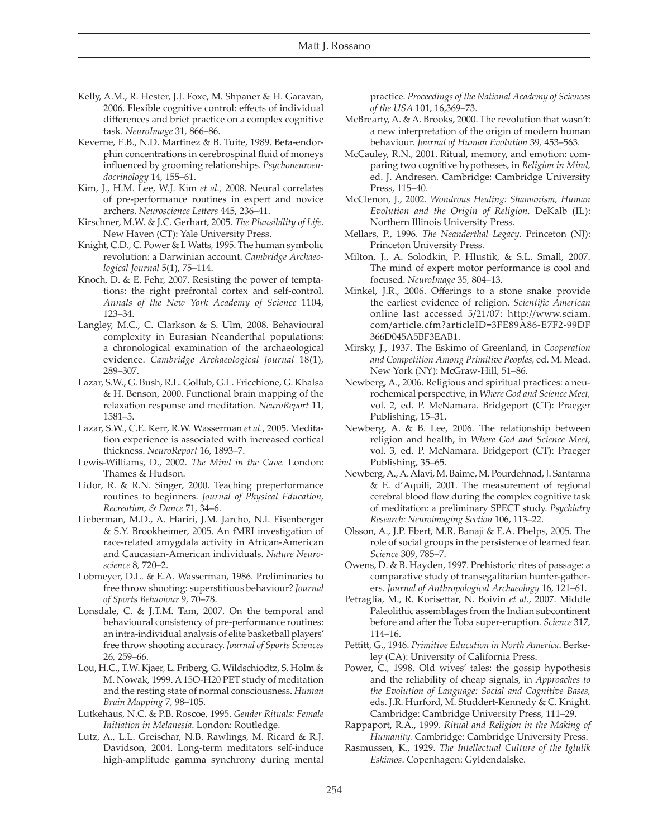- Kelly, A.M., R. Hester, J.J. Foxe, M. Shpaner & H. Garavan, 2006. Flexible cognitive control: effects of individual differences and brief practice on a complex cognitive task. *NeuroImage* 31*,* 866–86.
- Keverne, E.B., N.D. Martinez & B. Tuite, 1989. Beta-endorphin concentrations in cerebrospinal fluid of moneys influenced by grooming relationships. *Psychoneuroendocrinology* 14*,* 155–61.
- Kim, J., H.M. Lee, W.J. Kim *et al.,* 2008. Neural correlates of pre-performance routines in expert and novice archers. *Neuroscience Letters* 445*,* 236–41.
- Kirschner, M.W. & J.C. Gerhart, 2005. *The Plausibility of Life*. New Haven (CT): Yale University Press.
- Knight, C.D., C. Power & I. Watts, 1995. The human symbolic revolution: a Darwinian account. *Cambridge Archaeological Journal* 5(1)*,* 75–114.
- Knoch, D. & E. Fehr, 2007. Resisting the power of temptations: the right prefrontal cortex and self-control. *Annals of the New York Academy of Science* 1104*,*  123–34.
- Langley, M.C., C. Clarkson & S. Ulm, 2008. Behavioural complexity in Eurasian Neanderthal populations: a chronological examination of the archaeological evidence. *Cambridge Archaeological Journal* 18(1)*,*  289–307.
- Lazar, S.W., G. Bush, R.L. Gollub, G.L. Fricchione, G. Khalsa & H. Benson, 2000. Functional brain mapping of the relaxation response and meditation. *NeuroReport* 11, 1581–5.
- Lazar, S.W., C.E. Kerr, R.W. Wasserman *et al.*, 2005. Meditation experience is associated with increased cortical thickness. *NeuroReport* 16, 1893–7.
- Lewis-Williams, D., 2002. *The Mind in the Cave.* London: Thames & Hudson.
- Lidor, R. & R.N. Singer, 2000. Teaching preperformance routines to beginners. *Journal of Physical Education, Recreation, & Dance* 71*,* 34–6.
- Lieberman, M.D., A. Hariri, J.M. Jarcho, N.I. Eisenberger & S.Y. Brookheimer, 2005. An fMRI investigation of race-related amygdala activity in African-American and Caucasian-American individuals. *Nature Neuroscience* 8*,* 720–2.
- Lobmeyer, D.L. & E.A. Wasserman, 1986. Preliminaries to free throw shooting: superstitious behaviour? *Journal of Sports Behaviour* 9*,* 70–78.
- Lonsdale, C. & J.T.M. Tam, 2007. On the temporal and behavioural consistency of pre-performance routines: an intra-individual analysis of elite basketball players' free throw shooting accuracy. *Journal of Sports Sciences*  26*,* 259–66.
- Lou, H.C., T.W. Kjaer, L. Friberg, G. Wildschiodtz, S. Holm & M. Nowak, 1999. A 15O-H20 PET study of meditation and the resting state of normal consciousness. *Human Brain Mapping* 7, 98–105.
- Lutkehaus, N.C. & P.B. Roscoe, 1995. *Gender Rituals: Female Initiation in Melanesia*. London: Routledge.
- Lutz, A., L.L. Greischar, N.B. Rawlings, M. Ricard & R.J. Davidson, 2004. Long-term meditators self-induce high-amplitude gamma synchrony during mental

practice. *Proceedings of the National Academy of Sciences of the USA* 101, 16,369–73.

- McBrearty, A. & A. Brooks, 2000. The revolution that wasn't: a new interpretation of the origin of modern human behaviour. *Journal of Human Evolution* 39*,* 453–563.
- McCauley, R.N., 2001. Ritual, memory, and emotion: comparing two cognitive hypotheses, in *Religion in Mind,*  ed. J. Andresen. Cambridge: Cambridge University Press, 115–40.
- McClenon, J., 2002. *Wondrous Healing: Shamanism, Human Evolution and the Origin of Religion.* DeKalb (IL): Northern Illinois University Press.
- Mellars, P., 1996. *The Neanderthal Legacy*. Princeton (NJ): Princeton University Press.
- Milton, J., A. Solodkin, P. Hlustik, & S.L. Small, 2007. The mind of expert motor performance is cool and focused. *NeuroImage* 35*,* 804–13.
- Minkel, J.R., 2006. Offerings to a stone snake provide the earliest evidence of religion. *Scientific American*  online last accessed 5/21/07: http://www.sciam. com/article.cfm?articleID=3FE89A86-E7F2-99DF 366D045A5BF3EAB1.
- Mirsky, J., 1937. The Eskimo of Greenland, in *Cooperation and Competition Among Primitive Peoples,* ed. M. Mead. New York (NY): McGraw-Hill, 51–86.
- Newberg, A., 2006. Religious and spiritual practices: a neurochemical perspective, in *Where God and Science Meet,*  vol. 2*,* ed. P. McNamara. Bridgeport (CT): Praeger Publishing, 15–31.
- Newberg, A. & B. Lee, 2006. The relationship between religion and health, in *Where God and Science Meet,*  vol. 3*,* ed. P. McNamara. Bridgeport (CT): Praeger Publishing, 35–65.
- Newberg, A., A. Alavi, M. Baime, M. Pourdehnad, J. Santanna & E. d'Aquili, 2001. The measurement of regional cerebral blood flow during the complex cognitive task of meditation: a preliminary SPECT study. *Psychiatry Research: Neuroimaging Section* 106, 113–22.
- Olsson, A., J.P. Ebert, M.R. Banaji & E.A. Phelps, 2005. The role of social groups in the persistence of learned fear. *Science* 309, 785–7.
- Owens, D. & B. Hayden, 1997. Prehistoric rites of passage: a comparative study of transegalitarian hunter-gatherers. *Journal of Anthropological Archaeology* 16, 121–61.
- Petraglia, M., R. Korisettar, N. Boivin *et al.*, 2007. Middle Paleolithic assemblages from the Indian subcontinent before and after the Toba super-eruption. *Science* 317*,*  114–16.
- Pettitt, G., 1946. *Primitive Education in North America*. Berkeley (CA): University of California Press.
- Power, C., 1998. Old wives' tales: the gossip hypothesis and the reliability of cheap signals, in *Approaches to the Evolution of Language: Social and Cognitive Bases,* eds. J.R. Hurford, M. Studdert-Kennedy & C. Knight. Cambridge: Cambridge University Press, 111–29.
- Rappaport, R.A., 1999. *Ritual and Religion in the Making of Humanity.* Cambridge: Cambridge University Press.
- Rasmussen, K., 1929. *The Intellectual Culture of the Iglulik Eskimos*. Copenhagen: Gyldendalske.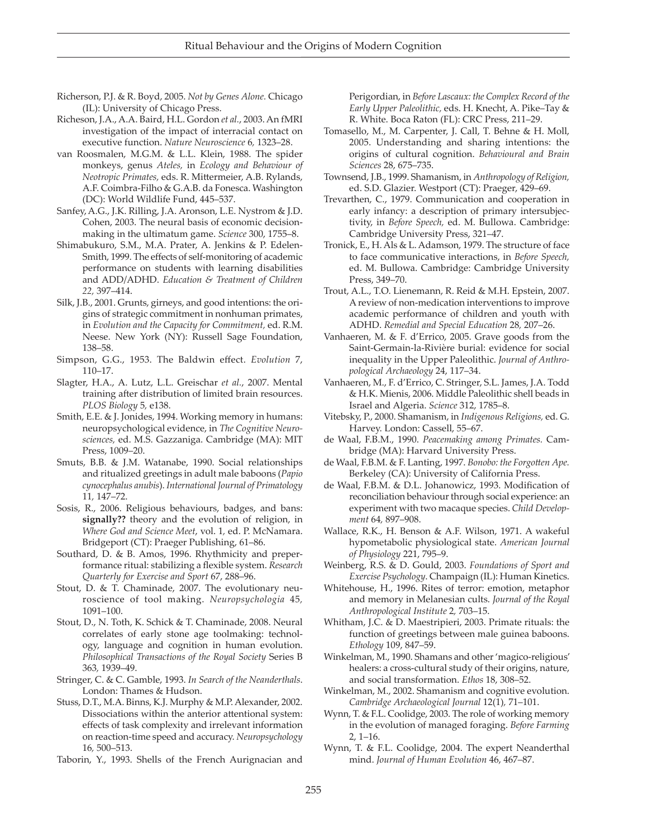- Richerson, P.J. & R. Boyd, 2005. *Not by Genes Alone.* Chicago (IL): University of Chicago Press.
- Richeson, J.A., A.A. Baird, H.L. Gordon *et al.*, 2003. An fMRI investigation of the impact of interracial contact on executive function. *Nature Neuroscience* 6*,* 1323–28.
- van Roosmalen, M.G.M. & L.L. Klein, 1988. The spider monkeys, genus *Ateles,* in *Ecology and Behaviour of Neotropic Primates,* eds. R. Mittermeier, A.B. Rylands, A.F. Coimbra-Filho & G.A.B. da Fonesca. Washington (DC): World Wildlife Fund, 445–537.
- Sanfey,A.G., J.K. Rilling, J.A. Aronson, L.E. Nystrom & J.D. Cohen, 2003. The neural basis of economic decisionmaking in the ultimatum game. *Science* 300, 1755–8.
- Shimabukuro, S.M., M.A. Prater, A. Jenkins & P. Edelen-Smith, 1999. The effects of self-monitoring of academic performance on students with learning disabilities and ADD/ADHD. *Education & Treatment of Children 22,* 397–414.
- Silk, J.B., 2001. Grunts, girneys, and good intentions: the origins of strategic commitment in nonhuman primates, in *Evolution and the Capacity for Commitment,* ed. R.M. Neese. New York (NY): Russell Sage Foundation, 138–58.
- Simpson, G.G., 1953. The Baldwin effect. *Evolution* 7, 110–17.
- Slagter, H.A., A. Lutz, L.L. Greischar *et al.*, 2007. Mental training after distribution of limited brain resources. *PLOS Biology* 5*,* e138.
- Smith, E.E. & J. Jonides, 1994. Working memory in humans: neuropsychological evidence, in *The Cognitive Neurosciences,* ed. M.S. Gazzaniga. Cambridge (MA): MIT Press, 1009–20.
- Smuts, B.B. & J.M. Watanabe, 1990. Social relationships and ritualized greetings in adult male baboons (*Papio cynocephalus anubis*). *International Journal of Primatology*  11*,* 147–72.
- Sosis, R., 2006. Religious behaviours, badges, and bans: **signally??** theory and the evolution of religion, in *Where God and Science Meet*, vol. 1*,* ed. P. McNamara. Bridgeport (CT): Praeger Publishing, 61–86.
- Southard, D. & B. Amos, 1996. Rhythmicity and preperformance ritual: stabilizing a flexible system. *Research Quarterly for Exercise and Sport* 67, 288–96.
- Stout, D. & T. Chaminade, 2007. The evolutionary neuroscience of tool making. *Neuropsychologia* 45*,*  1091–100.
- Stout, D., N. Toth, K. Schick & T. Chaminade, 2008. Neural correlates of early stone age toolmaking: technology, language and cognition in human evolution. *Philosophical Transactions of the Royal Society* Series B 363*,* 1939–49.
- Stringer, C. & C. Gamble, 1993. *In Search of the Neanderthals*. London: Thames & Hudson.
- Stuss, D.T., M.A. Binns, K.J. Murphy & M.P. Alexander, 2002. Dissociations within the anterior attentional system: effects of task complexity and irrelevant information on reaction-time speed and accuracy. *Neuropsychology*  16*,* 500–513.
- Taborin, Y., 1993. Shells of the French Aurignacian and

Perigordian, in *Before Lascaux: the Complex Record of the Early Upper Paleolithic,* eds. H. Knecht, A. Pike–Tay & R. White. Boca Raton (FL): CRC Press, 211–29.

- Tomasello, M., M. Carpenter, J. Call, T. Behne & H. Moll, 2005. Understanding and sharing intentions: the origins of cultural cognition. *Behavioural and Brain Sciences* 28, 675–735.
- Townsend, J.B., 1999. Shamanism, in *Anthropology of Religion,*  ed. S.D. Glazier. Westport (CT): Praeger, 429–69.
- Trevarthen, C., 1979. Communication and cooperation in early infancy: a description of primary intersubjectivity, in *Before Speech,* ed. M. Bullowa. Cambridge: Cambridge University Press, 321–47.
- Tronick, E., H. Als & L. Adamson, 1979. The structure of face to face communicative interactions, in *Before Speech,*  ed. M. Bullowa. Cambridge: Cambridge University Press, 349–70.
- Trout, A.L., T.O. Lienemann, R. Reid & M.H. Epstein, 2007. A review of non-medication interventions to improve academic performance of children and youth with ADHD. *Remedial and Special Education* 28*,* 207–26.
- Vanhaeren, M. & F. d'Errico, 2005. Grave goods from the Saint-Germain-la-Rivière burial: evidence for social inequality in the Upper Paleolithic. *Journal of Anthropological Archaeology* 24, 117–34.
- Vanhaeren, M., F. d'Errico, C. Stringer, S.L. James, J.A. Todd & H.K. Mienis, 2006. Middle Paleolithic shell beads in Israel and Algeria. *Science* 312, 1785–8.
- Vitebsky, P., 2000. Shamanism, in *Indigenous Religions,* ed. G. Harvey. London: Cassell, 55–67.
- de Waal, F.B.M., 1990. *Peacemaking among Primates.* Cambridge (MA): Harvard University Press.
- de Waal, F.B.M. & F. Lanting, 1997. *Bonobo: the Forgotten Ape.*  Berkeley (CA): University of California Press.
- de Waal, F.B.M. & D.L. Johanowicz, 1993. Modification of reconciliation behaviour through social experience: an experiment with two macaque species. *Child Development* 64*,* 897–908.
- Wallace, R.K., H. Benson & A.F. Wilson, 1971. A wakeful hypometabolic physiological state. *American Journal of Physiology* 221, 795–9.
- Weinberg, R.S. & D. Gould, 2003. *Foundations of Sport and Exercise Psychology*. Champaign (IL): Human Kinetics.
- Whitehouse, H., 1996. Rites of terror: emotion, metaphor and memory in Melanesian cults. *Journal of the Royal Anthropological Institute* 2*,* 703–15.
- Whitham, J.C. & D. Maestripieri, 2003. Primate rituals: the function of greetings between male guinea baboons. *Ethology* 109, 847–59.
- Winkelman, M., 1990. Shamans and other 'magico-religious' healers: a cross-cultural study of their origins, nature, and social transformation. *Ethos* 18, 308–52.
- Winkelman, M., 2002. Shamanism and cognitive evolution. *Cambridge Archaeological Journal* 12(1)*,* 71–101.
- Wynn, T. & F.L. Coolidge, 2003. The role of working memory in the evolution of managed foraging. *Before Farming* 2, 1–16.
- Wynn, T. & F.L. Coolidge, 2004. The expert Neanderthal mind. *Journal of Human Evolution* 46, 467–87.